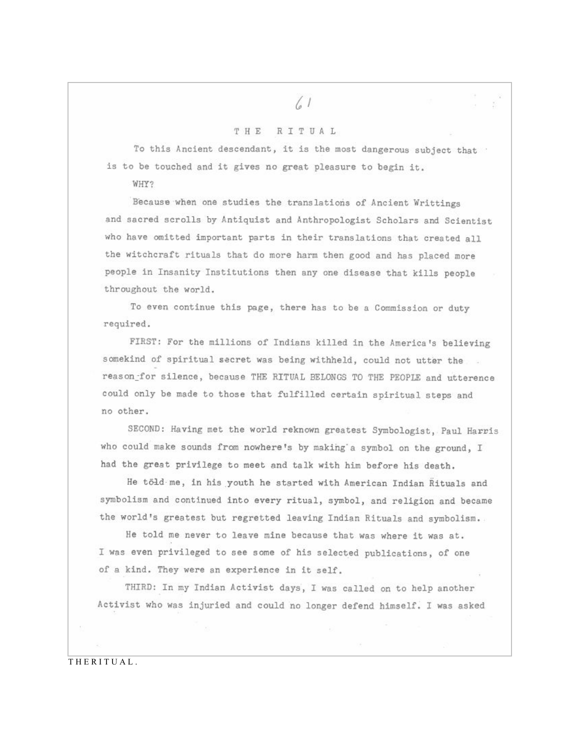## $\binom{1}{2}$

## THE RITUAL

To this Ancient descendant, it is the most dangerous subject that is to be touched and it gives no great pleasure to begin it.

WHY?

Because when one studies the translations of Ancient Writtings and sacred scrolls by Antiquist and Anthropologist Scholars and Scientist who have omitted important parts in their translations that created all the witchcraft rituals that do more harm then good and has placed more people in Insanity Institutions then any one disease that kills people throughout the world.

To even continue this page, there has to be a Commission or duty required.

FIRST: For the millions of Indians killed in the America's believing somekind of spiritual secret was being withheld, could not utter the reason\_for silence, because THE RITUAL BELONGS TO THE PEOPLE and utterence could only be made to those that fulfilled certain spiritual steps and no other.

SECOND: Having met the world reknown greatest Symbologist, Paul Harris who could make sounds from nowhere's by making a symbol on the ground, I had the great privilege to meet and talk with him before his death.

He töld me, in his youth he started with American Indian Rituals and symbolism and continued into every ritual, symbol, and religion and became the world's greatest but regretted leaving Indian Rituals and symbolism.

He told me never to leave mine because that was where it was at. I was even privileged to see some of his selected publications, of one of a kind. They were an experience in it self.

THIRD: In my Indian Activist days, I was called on to help another Activist who was injuried and could no longer defend himself. I was asked

THERITUAL.